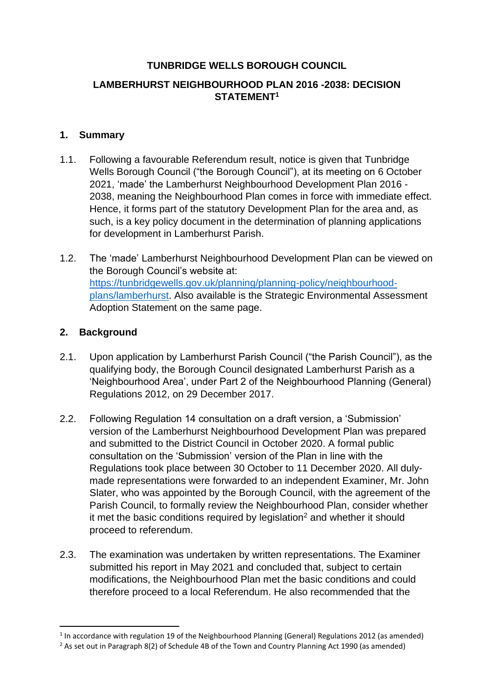## **TUNBRIDGE WELLS BOROUGH COUNCIL**

## **LAMBERHURST NEIGHBOURHOOD PLAN 2016 -2038: DECISION STATEMENT<sup>1</sup>**

#### **1. Summary**

- 1.1. Following a favourable Referendum result, notice is given that Tunbridge Wells Borough Council ("the Borough Council"), at its meeting on 6 October 2021, 'made' the Lamberhurst Neighbourhood Development Plan 2016 - 2038, meaning the Neighbourhood Plan comes in force with immediate effect. Hence, it forms part of the statutory Development Plan for the area and, as such, is a key policy document in the determination of planning applications for development in Lamberhurst Parish.
- 1.2. The 'made' Lamberhurst Neighbourhood Development Plan can be viewed on the Borough Council's website at: [https://tunbridgewells.gov.uk/planning/planning-policy/neighbourhood](https://tunbridgewells.gov.uk/planning/planning-policy/neighbourhood-plans/lamberhurst)[plans/lamberhurst.](https://tunbridgewells.gov.uk/planning/planning-policy/neighbourhood-plans/lamberhurst) Also available is the Strategic Environmental Assessment Adoption Statement on the same page.

### **2. Background**

- 2.1. Upon application by Lamberhurst Parish Council ("the Parish Council"), as the qualifying body, the Borough Council designated Lamberhurst Parish as a 'Neighbourhood Area', under Part 2 of the Neighbourhood Planning (General) Regulations 2012, on 29 December 2017.
- 2.2. Following Regulation 14 consultation on a draft version, a 'Submission' version of the Lamberhurst Neighbourhood Development Plan was prepared and submitted to the District Council in October 2020. A formal public consultation on the 'Submission' version of the Plan in line with the Regulations took place between 30 October to 11 December 2020. All dulymade representations were forwarded to an independent Examiner, Mr. John Slater, who was appointed by the Borough Council, with the agreement of the Parish Council, to formally review the Neighbourhood Plan, consider whether it met the basic conditions required by legislation<sup>2</sup> and whether it should proceed to referendum.
- 2.3. The examination was undertaken by written representations. The Examiner submitted his report in May 2021 and concluded that, subject to certain modifications, the Neighbourhood Plan met the basic conditions and could therefore proceed to a local Referendum. He also recommended that the

<sup>&</sup>lt;sup>1</sup> In accordance with regulation 19 of the Neighbourhood Planning (General) Regulations 2012 (as amended)

<sup>&</sup>lt;sup>2</sup> As set out in Paragraph 8(2) of Schedule 4B of the Town and Country Planning Act 1990 (as amended)